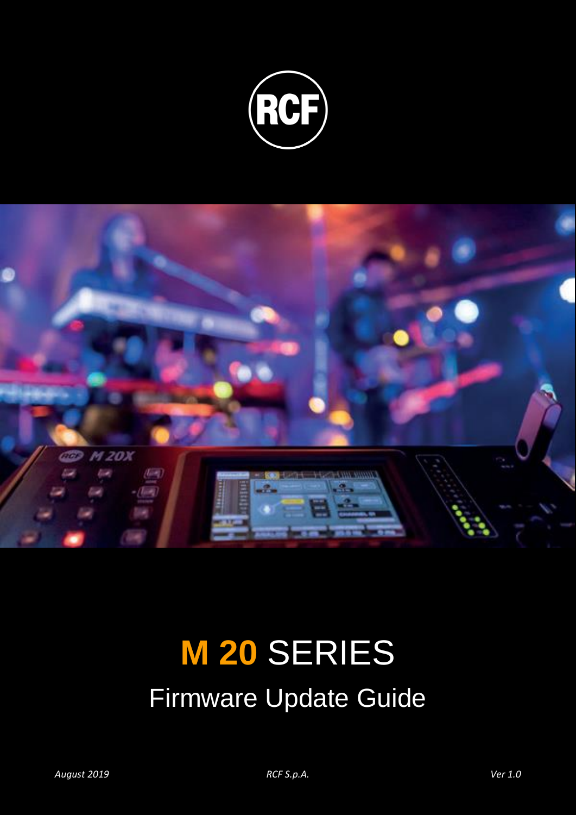



## **M 20** SERIES Firmware Update Guide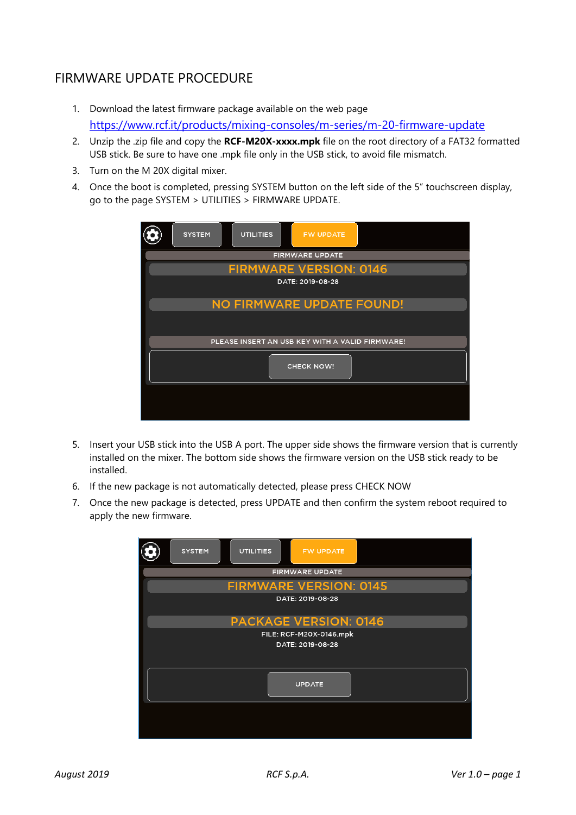## FIRMWARE UPDATE PROCEDURE

- 1. Download the latest firmware package available on the web page <https://www.rcf.it/products/mixing-consoles/m-series/m-20-firmware-update>
- 2. Unzip the .zip file and copy the **RCF-M20X-xxxx.mpk** file on the root directory of a FAT32 formatted USB stick. Be sure to have one .mpk file only in the USB stick, to avoid file mismatch.
- 3. Turn on the M 20X digital mixer.
- 4. Once the boot is completed, pressing SYSTEM button on the left side of the 5" touchscreen display, go to the page SYSTEM > UTILITIES > FIRMWARE UPDATE.

| <b>UTILITIES</b><br><b>SYSTEM</b><br><b>FW UPDATE</b> |  |
|-------------------------------------------------------|--|
| <b>FIRMWARE UPDATE</b>                                |  |
| <b>FIRMWARE VERSION: 0146</b>                         |  |
| DATE: 2019-08-28                                      |  |
| NO FIRMWARE UPDATE FOUND!                             |  |
|                                                       |  |
| PLEASE INSERT AN USB KEY WITH A VALID FIRMWARE!       |  |
| <b>CHECK NOW!</b>                                     |  |
|                                                       |  |

- 5. Insert your USB stick into the USB A port. The upper side shows the firmware version that is currently installed on the mixer. The bottom side shows the firmware version on the USB stick ready to be installed.
- 6. If the new package is not automatically detected, please press CHECK NOW
- 7. Once the new package is detected, press UPDATE and then confirm the system reboot required to apply the new firmware.

| <b>SYSTEM</b><br><b>UTILITIES</b><br><b>FW UPDATE</b> |
|-------------------------------------------------------|
| <b>FIRMWARE UPDATE</b>                                |
| <b>FIRMWARE VERSION: 0145</b>                         |
| DATE: 2019-08-28                                      |
| <b>PACKAGE VERSION: 0146</b>                          |
| FILE: RCF-M20X-0146.mpk                               |
| DATE: 2019-08-28                                      |
|                                                       |
| <b>UPDATE</b>                                         |
|                                                       |
|                                                       |
|                                                       |